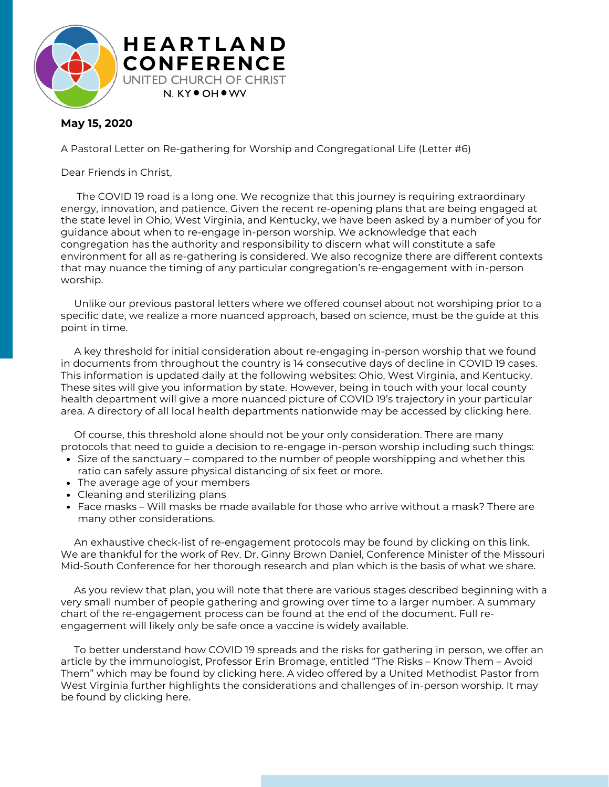

## **May 15, 2020**

A Pastoral Letter on Re-gathering for Worship and Congregational Life (Letter #6)

Dear Friends in Christ,

The COVID 19 road is a long one. We recognize that this journey is requiring extraordinary energy, innovation, and patience. Given the recent re-opening plans that are being engaged at the state level in Ohio, West Virginia, and Kentucky, we have been asked by a number of you for guidance about when to re-engage in-person worship. We acknowledge that each congregation has the authority and responsibility to discern what will constitute a safe environment for all as re-gathering is considered. We also recognize there are different contexts that may nuance the timing of any particular congregation's re-engagement with in-person worship.

Unlike our previous pastoral letters where we offered counsel about not worshiping prior to a specific date, we realize a more nuanced approach, based on science, must be the guide at this point in time.

A key threshold for initial consideration about re-engaging in-person worship that we found in documents from throughout the country is 14 consecutive days of decline in COVID 19 cases. This information is updated daily at the following websites: Ohio, West Virginia, and Kentucky. These sites will give you information by state. However, being in touch with your local county health department will give a more nuanced picture of COVID 19's trajectory in your particular area. A directory of all local health departments nationwide may be accessed by clicking here.

Of course, this threshold alone should not be your only consideration. There are many protocols that need to guide a decision to re-engage in-person worship including such things:

- Size of the sanctuary compared to the number of people worshipping and whether this ratio can safely assure physical distancing of six feet or more.
- The average age of your members
- Cleaning and sterilizing plans
- Face masks Will masks be made available for those who arrive without a mask? There are many other considerations.

An exhaustive check-list of re-engagement protocols may be found by clicking on this link. We are thankful for the work of Rev. Dr. Ginny Brown Daniel, Conference Minister of the Missouri Mid-South Conference for her thorough research and plan which is the basis of what we share.

As you review that plan, you will note that there are various stages described beginning with a very small number of people gathering and growing over time to a larger number. A summary chart of the re-engagement process can be found at the end of the document. Full reengagement will likely only be safe once a vaccine is widely available.

To better understand how COVID 19 spreads and the risks for gathering in person, we offer an article by the immunologist, Professor Erin Bromage, entitled "The Risks – Know Them – Avoid Them" which may be found by clicking here. A video offered by a United Methodist Pastor from West Virginia further highlights the considerations and challenges of in-person worship. It may be found by clicking here.